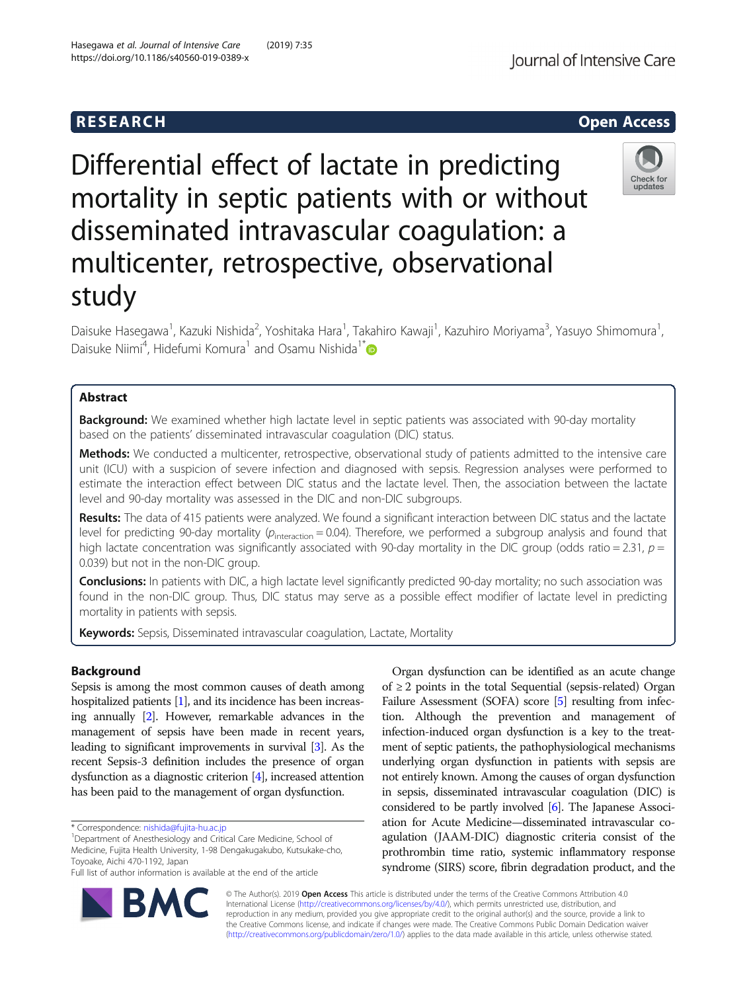Differential effect of lactate in predicting mortality in septic patients with or without disseminated intravascular coagulation: a multicenter, retrospective, observational study

Daisuke Hasegawa<sup>1</sup>, Kazuki Nishida<sup>2</sup>, Yoshitaka Hara<sup>1</sup>, Takahiro Kawaji<sup>1</sup>, Kazuhiro Moriyama<sup>3</sup>, Yasuyo Shimomura<sup>1</sup> , Daisuke Niimi<sup>4</sup>, Hidefumi Komura<sup>1</sup> and Osamu Nishida<sup>1\*</sup>

# Abstract

**Background:** We examined whether high lactate level in septic patients was associated with 90-day mortality based on the patients' disseminated intravascular coagulation (DIC) status.

Methods: We conducted a multicenter, retrospective, observational study of patients admitted to the intensive care unit (ICU) with a suspicion of severe infection and diagnosed with sepsis. Regression analyses were performed to estimate the interaction effect between DIC status and the lactate level. Then, the association between the lactate level and 90-day mortality was assessed in the DIC and non-DIC subgroups.

Results: The data of 415 patients were analyzed. We found a significant interaction between DIC status and the lactate level for predicting 90-day mortality ( $p_{interaction} = 0.04$ ). Therefore, we performed a subgroup analysis and found that high lactate concentration was significantly associated with 90-day mortality in the DIC group (odds ratio = 2.31,  $p =$ 0.039) but not in the non-DIC group.

Conclusions: In patients with DIC, a high lactate level significantly predicted 90-day mortality; no such association was found in the non-DIC group. Thus, DIC status may serve as a possible effect modifier of lactate level in predicting mortality in patients with sepsis.

Keywords: Sepsis, Disseminated intravascular coagulation, Lactate, Mortality

# Background

Sepsis is among the most common causes of death among hospitalized patients [\[1\]](#page-5-0), and its incidence has been increasing annually [\[2](#page-5-0)]. However, remarkable advances in the management of sepsis have been made in recent years, leading to significant improvements in survival [[3\]](#page-5-0). As the recent Sepsis-3 definition includes the presence of organ dysfunction as a diagnostic criterion [[4](#page-5-0)], increased attention has been paid to the management of organ dysfunction.

\* Correspondence: [nishida@fujita-hu.ac.jp](mailto:nishida@fujita-hu.ac.jp) <sup>1</sup>

<sup>1</sup>Department of Anesthesiology and Critical Care Medicine, School of Medicine, Fujita Health University, 1-98 Dengakugakubo, Kutsukake-cho, Toyoake, Aichi 470-1192, Japan

Full list of author information is available at the end of the article

Organ dysfunction can be identified as an acute change of ≥2 points in the total Sequential (sepsis-related) Organ Failure Assessment (SOFA) score [[5](#page-5-0)] resulting from infection. Although the prevention and management of infection-induced organ dysfunction is a key to the treatment of septic patients, the pathophysiological mechanisms underlying organ dysfunction in patients with sepsis are not entirely known. Among the causes of organ dysfunction in sepsis, disseminated intravascular coagulation (DIC) is considered to be partly involved [\[6\]](#page-5-0). The Japanese Association for Acute Medicine—disseminated intravascular coagulation (JAAM-DIC) diagnostic criteria consist of the prothrombin time ratio, systemic inflammatory response syndrome (SIRS) score, fibrin degradation product, and the

© The Author(s). 2019 Open Access This article is distributed under the terms of the Creative Commons Attribution 4.0 International License [\(http://creativecommons.org/licenses/by/4.0/](http://creativecommons.org/licenses/by/4.0/)), which permits unrestricted use, distribution, and reproduction in any medium, provided you give appropriate credit to the original author(s) and the source, provide a link to the Creative Commons license, and indicate if changes were made. The Creative Commons Public Domain Dedication waiver [\(http://creativecommons.org/publicdomain/zero/1.0/](http://creativecommons.org/publicdomain/zero/1.0/)) applies to the data made available in this article, unless otherwise stated.





Check for undates

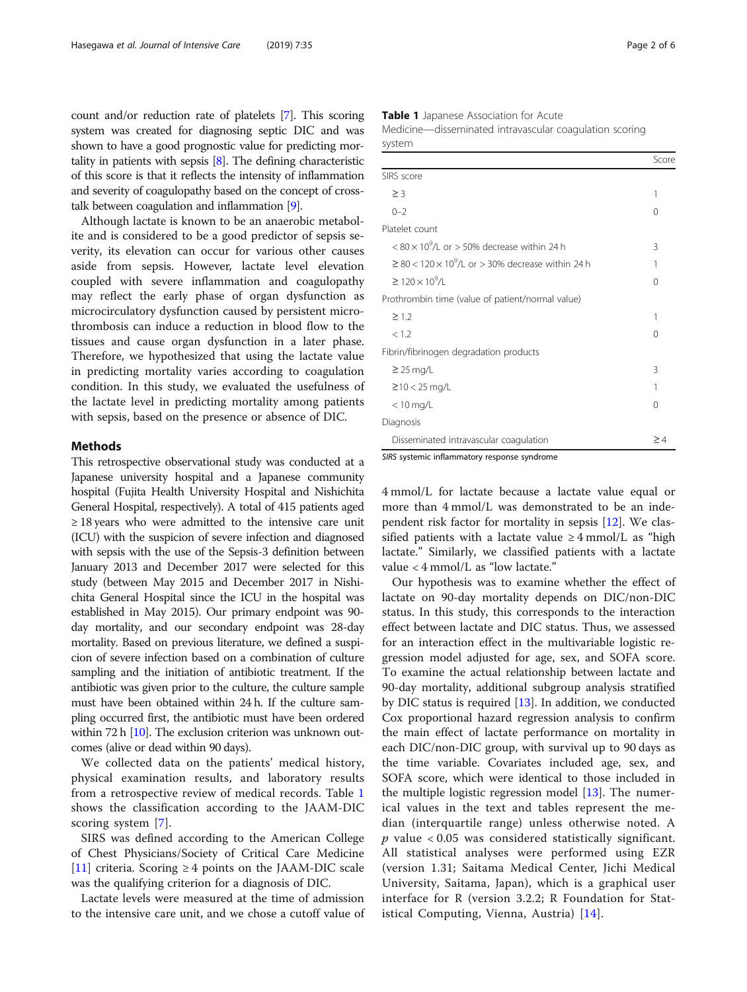count and/or reduction rate of platelets [\[7](#page-5-0)]. This scoring system was created for diagnosing septic DIC and was shown to have a good prognostic value for predicting mortality in patients with sepsis  $[8]$  $[8]$ . The defining characteristic of this score is that it reflects the intensity of inflammation and severity of coagulopathy based on the concept of crosstalk between coagulation and inflammation [[9](#page-5-0)].

Although lactate is known to be an anaerobic metabolite and is considered to be a good predictor of sepsis severity, its elevation can occur for various other causes aside from sepsis. However, lactate level elevation coupled with severe inflammation and coagulopathy may reflect the early phase of organ dysfunction as microcirculatory dysfunction caused by persistent microthrombosis can induce a reduction in blood flow to the tissues and cause organ dysfunction in a later phase. Therefore, we hypothesized that using the lactate value in predicting mortality varies according to coagulation condition. In this study, we evaluated the usefulness of the lactate level in predicting mortality among patients with sepsis, based on the presence or absence of DIC.

### Methods

This retrospective observational study was conducted at a Japanese university hospital and a Japanese community hospital (Fujita Health University Hospital and Nishichita General Hospital, respectively). A total of 415 patients aged  $\geq$  18 years who were admitted to the intensive care unit (ICU) with the suspicion of severe infection and diagnosed with sepsis with the use of the Sepsis-3 definition between January 2013 and December 2017 were selected for this study (between May 2015 and December 2017 in Nishichita General Hospital since the ICU in the hospital was established in May 2015). Our primary endpoint was 90 day mortality, and our secondary endpoint was 28-day mortality. Based on previous literature, we defined a suspicion of severe infection based on a combination of culture sampling and the initiation of antibiotic treatment. If the antibiotic was given prior to the culture, the culture sample must have been obtained within 24 h. If the culture sampling occurred first, the antibiotic must have been ordered within 72 h  $[10]$ . The exclusion criterion was unknown outcomes (alive or dead within 90 days).

We collected data on the patients' medical history, physical examination results, and laboratory results from a retrospective review of medical records. Table 1 shows the classification according to the JAAM-DIC scoring system [\[7](#page-5-0)].

SIRS was defined according to the American College of Chest Physicians/Society of Critical Care Medicine [[11\]](#page-5-0) criteria. Scoring  $\geq$  4 points on the JAAM-DIC scale was the qualifying criterion for a diagnosis of DIC.

Lactate levels were measured at the time of admission to the intensive care unit, and we chose a cutoff value of Table 1 Japanese Association for Acute Medicine—disseminated intravascular coagulation scoring

system

|                                                                    | Score    |
|--------------------------------------------------------------------|----------|
| SIRS score                                                         |          |
| $\geq$ 3                                                           | 1        |
| $() - ?$                                                           | 0        |
| Platelet count                                                     |          |
| $< 80 \times 10^{9}$ /L or $> 50\%$ decrease within 24 h           | 3        |
| $\geq$ 80 < 120 × 10 <sup>9</sup> /L or > 30% decrease within 24 h | 1        |
| $\geq 120 \times 10^{9}$ /I                                        | 0        |
| Prothrombin time (value of patient/normal value)                   |          |
| $\geq$ 1.2                                                         | 1        |
| < 1.2                                                              | 0        |
| Fibrin/fibrinogen degradation products                             |          |
| $\geq$ 25 mg/L                                                     | 3        |
| $≥10 < 25$ mg/L                                                    | 1        |
| $< 10$ mg/L                                                        | 0        |
| Diagnosis                                                          |          |
| Disseminated intravascular coagulation                             | $\geq 4$ |

SIRS systemic inflammatory response syndrome

4 mmol/L for lactate because a lactate value equal or more than 4 mmol/L was demonstrated to be an independent risk factor for mortality in sepsis [\[12](#page-5-0)]. We classified patients with a lactate value  $\geq 4$  mmol/L as "high lactate." Similarly, we classified patients with a lactate value < 4 mmol/L as "low lactate."

Our hypothesis was to examine whether the effect of lactate on 90-day mortality depends on DIC/non-DIC status. In this study, this corresponds to the interaction effect between lactate and DIC status. Thus, we assessed for an interaction effect in the multivariable logistic regression model adjusted for age, sex, and SOFA score. To examine the actual relationship between lactate and 90-day mortality, additional subgroup analysis stratified by DIC status is required [\[13](#page-5-0)]. In addition, we conducted Cox proportional hazard regression analysis to confirm the main effect of lactate performance on mortality in each DIC/non-DIC group, with survival up to 90 days as the time variable. Covariates included age, sex, and SOFA score, which were identical to those included in the multiple logistic regression model [[13](#page-5-0)]. The numerical values in the text and tables represent the median (interquartile range) unless otherwise noted. A  $p$  value  $<0.05$  was considered statistically significant. All statistical analyses were performed using EZR (version 1.31; Saitama Medical Center, Jichi Medical University, Saitama, Japan), which is a graphical user interface for R (version 3.2.2; R Foundation for Statistical Computing, Vienna, Austria) [[14\]](#page-5-0).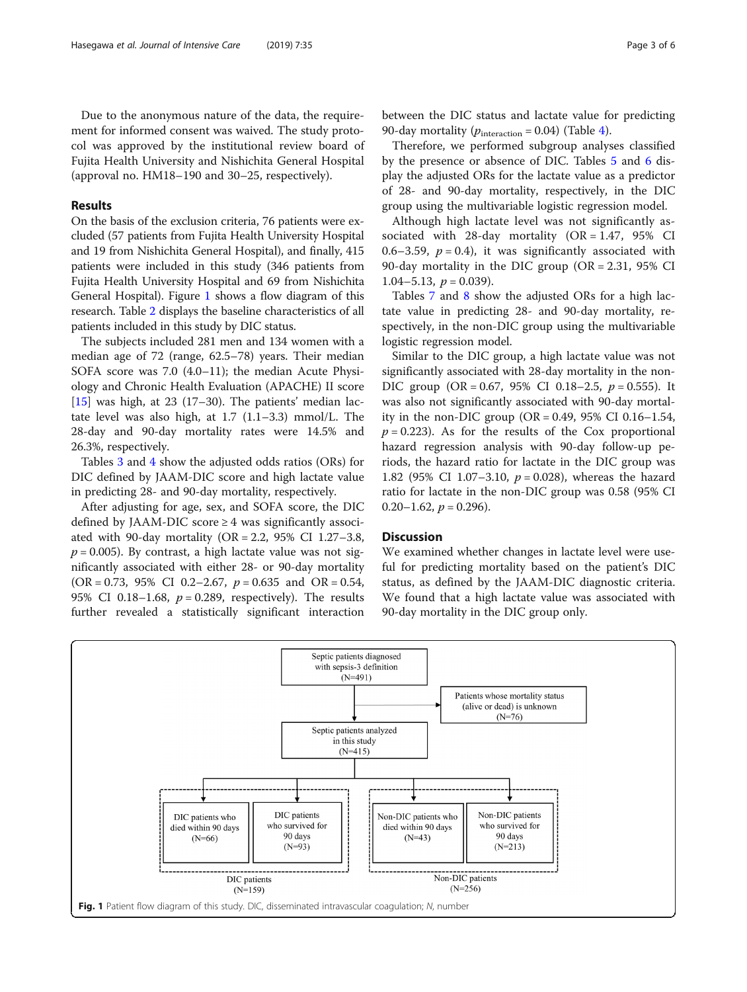Due to the anonymous nature of the data, the requirement for informed consent was waived. The study protocol was approved by the institutional review board of Fujita Health University and Nishichita General Hospital (approval no. HM18–190 and 30–25, respectively).

## Results

On the basis of the exclusion criteria, 76 patients were excluded (57 patients from Fujita Health University Hospital and 19 from Nishichita General Hospital), and finally, 415 patients were included in this study (346 patients from Fujita Health University Hospital and 69 from Nishichita General Hospital). Figure 1 shows a flow diagram of this research. Table [2](#page-3-0) displays the baseline characteristics of all patients included in this study by DIC status.

The subjects included 281 men and 134 women with a median age of 72 (range, 62.5–78) years. Their median SOFA score was 7.0 (4.0–11); the median Acute Physiology and Chronic Health Evaluation (APACHE) II score [[15\]](#page-5-0) was high, at 23 (17–30). The patients' median lactate level was also high, at 1.7 (1.1–3.3) mmol/L. The 28-day and 90-day mortality rates were 14.5% and 26.3%, respectively.

Tables [3](#page-3-0) and [4](#page-3-0) show the adjusted odds ratios (ORs) for DIC defined by JAAM-DIC score and high lactate value in predicting 28- and 90-day mortality, respectively.

After adjusting for age, sex, and SOFA score, the DIC defined by JAAM-DIC score  $\geq$  4 was significantly associated with 90-day mortality (OR = 2.2, 95% CI 1.27-3.8,  $p = 0.005$ ). By contrast, a high lactate value was not significantly associated with either 28- or 90-day mortality (OR = 0.73, 95% CI 0.2–2.67,  $p = 0.635$  and OR = 0.54, 95% CI 0.18–1.68,  $p = 0.289$ , respectively). The results further revealed a statistically significant interaction

between the DIC status and lactate value for predicting 90-day mortality ( $p_{interaction} = 0.04$ ) (Table [4\)](#page-3-0).

Therefore, we performed subgroup analyses classified by the presence or absence of DIC. Tables [5](#page-4-0) and [6](#page-4-0) display the adjusted ORs for the lactate value as a predictor of 28- and 90-day mortality, respectively, in the DIC group using the multivariable logistic regression model.

Although high lactate level was not significantly associated with  $28$ -day mortality (OR = 1.47, 95% CI 0.6–3.59,  $p = 0.4$ ), it was significantly associated with 90-day mortality in the DIC group (OR = 2.31, 95% CI 1.04–5.13,  $p = 0.039$ ).

Tables [7](#page-4-0) and [8](#page-4-0) show the adjusted ORs for a high lactate value in predicting 28- and 90-day mortality, respectively, in the non-DIC group using the multivariable logistic regression model.

Similar to the DIC group, a high lactate value was not significantly associated with 28-day mortality in the non-DIC group  $(OR = 0.67, 95\% \text{ CI } 0.18-2.5, p = 0.555)$ . It was also not significantly associated with 90-day mortality in the non-DIC group (OR =  $0.49$ , 95% CI 0.16-1.54,  $p = 0.223$ ). As for the results of the Cox proportional hazard regression analysis with 90-day follow-up periods, the hazard ratio for lactate in the DIC group was 1.82 (95% CI 1.07-3.10,  $p = 0.028$ ), whereas the hazard ratio for lactate in the non-DIC group was 0.58 (95% CI  $0.20-1.62$ ,  $p = 0.296$ ).

## **Discussion**

We examined whether changes in lactate level were useful for predicting mortality based on the patient's DIC status, as defined by the JAAM-DIC diagnostic criteria. We found that a high lactate value was associated with 90-day mortality in the DIC group only.

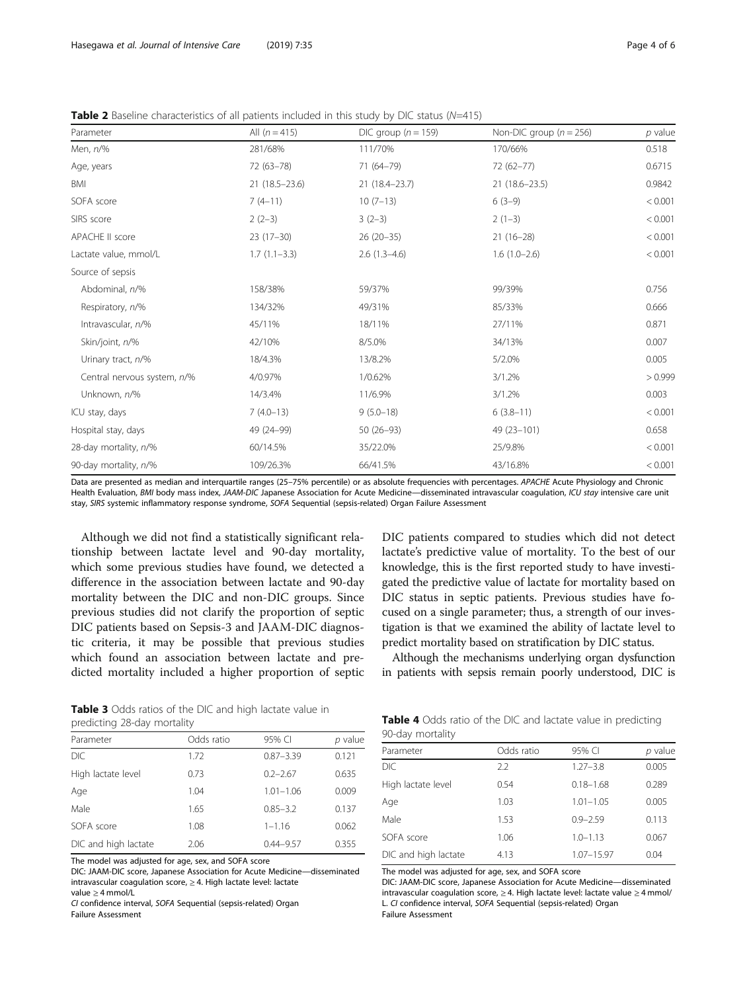<span id="page-3-0"></span>**Table 2** Baseline characteristics of all patients included in this study by DIC status ( $N=415$ )

| Parameter                   | All $(n = 415)$   | DIC group $(n = 159)$ | Non-DIC group ( $n = 256$ ) | $p$ value |
|-----------------------------|-------------------|-----------------------|-----------------------------|-----------|
| Men, n/%                    | 281/68%           | 111/70%               | 170/66%                     | 0.518     |
| Age, years                  | 72 (63-78)        | 71 (64-79)            | $72(62 - 77)$               | 0.6715    |
| BMI                         | $21(18.5 - 23.6)$ | 21 (18.4 - 23.7)      | $21(18.6 - 23.5)$           | 0.9842    |
| SOFA score                  | $7(4-11)$         | $10(7-13)$            | $6(3-9)$                    | < 0.001   |
| SIRS score                  | $2(2-3)$          | $3(2-3)$              | $2(1-3)$                    | < 0.001   |
| APACHE II score             | $23(17-30)$       | $26(20-35)$           | $21(16-28)$                 | < 0.001   |
| Lactate value, mmol/L       | $1.7(1.1-3.3)$    | $2.6(1.3-4.6)$        | $1.6(1.0-2.6)$              | < 0.001   |
| Source of sepsis            |                   |                       |                             |           |
| Abdominal, n/%              | 158/38%           | 59/37%                | 99/39%                      | 0.756     |
| Respiratory, n/%            | 134/32%           | 49/31%                | 85/33%                      | 0.666     |
| Intravascular, n/%          | 45/11%            | 18/11%                | 27/11%                      | 0.871     |
| Skin/joint, n/%             | 42/10%            | 8/5.0%                | 34/13%                      | 0.007     |
| Urinary tract, n/%          | 18/4.3%           | 13/8.2%               | 5/2.0%                      | 0.005     |
| Central nervous system, n/% | 4/0.97%           | 1/0.62%               | 3/1.2%                      | > 0.999   |
| Unknown, n/%                | 14/3.4%           | 11/6.9%               | 3/1.2%                      | 0.003     |
| ICU stay, days              | $7(4.0-13)$       | $9(5.0 - 18)$         | $6(3.8-11)$                 | < 0.001   |
| Hospital stay, days         | 49 (24-99)        | $50(26-93)$           | 49 (23-101)                 | 0.658     |
| 28-day mortality, n/%       | 60/14.5%          | 35/22.0%              | 25/9.8%                     | < 0.001   |
| 90-day mortality, n/%       | 109/26.3%         | 66/41.5%              | 43/16.8%                    | < 0.001   |

Data are presented as median and interquartile ranges (25–75% percentile) or as absolute frequencies with percentages. APACHE Acute Physiology and Chronic Health Evaluation, BMI body mass index, JAAM-DIC Japanese Association for Acute Medicine—disseminated intravascular coagulation, ICU stay intensive care unit stay, SIRS systemic inflammatory response syndrome, SOFA Sequential (sepsis-related) Organ Failure Assessment

Although we did not find a statistically significant relationship between lactate level and 90-day mortality, which some previous studies have found, we detected a difference in the association between lactate and 90-day mortality between the DIC and non-DIC groups. Since previous studies did not clarify the proportion of septic DIC patients based on Sepsis-3 and JAAM-DIC diagnostic criteria, it may be possible that previous studies which found an association between lactate and predicted mortality included a higher proportion of septic DIC patients compared to studies which did not detect lactate's predictive value of mortality. To the best of our knowledge, this is the first reported study to have investigated the predictive value of lactate for mortality based on DIC status in septic patients. Previous studies have focused on a single parameter; thus, a strength of our investigation is that we examined the ability of lactate level to predict mortality based on stratification by DIC status.

Although the mechanisms underlying organ dysfunction in patients with sepsis remain poorly understood, DIC is

Table 3 Odds ratios of the DIC and high lactate value in predicting 28-day mortality

| Parameter            | Odds ratio | 95% CI        | p value |
|----------------------|------------|---------------|---------|
| <b>DIC</b>           | 1.72       | $0.87 - 3.39$ | 0.121   |
| High lactate level   | 0.73       | $0.2 - 2.67$  | 0.635   |
| Age                  | 1.04       | $1.01 - 1.06$ | 0.009   |
| Male                 | 1.65       | $0.85 - 3.2$  | 0.137   |
| SOFA score           | 1.08       | $1 - 1.16$    | 0.062   |
| DIC and high lactate | 2.06       | $0.44 - 9.57$ | 0.355   |

The model was adjusted for age, sex, and SOFA score

DIC: JAAM-DIC score, Japanese Association for Acute Medicine—disseminated intravascular coagulation score, ≥ 4. High lactate level: lactate value ≥ 4 mmol/L

CI confidence interval, SOFA Sequential (sepsis-related) Organ Failure Assessment

|                  |  |  |  |  |  | <b>Table 4</b> Odds ratio of the DIC and lactate value in predicting |  |
|------------------|--|--|--|--|--|----------------------------------------------------------------------|--|
| 90-day mortality |  |  |  |  |  |                                                                      |  |

| Parameter            | Odds ratio | 95% CI         | p value |  |  |  |
|----------------------|------------|----------------|---------|--|--|--|
| DIC                  | 2.2        | $1.27 - 3.8$   | 0.005   |  |  |  |
| High lactate level   | 0.54       | $0.18 - 1.68$  | 0.289   |  |  |  |
| Age                  | 1.03       | $1.01 - 1.05$  | 0.005   |  |  |  |
| Male                 | 1.53       | $0.9 - 2.59$   | 0.113   |  |  |  |
| SOFA score           | 1.06       | $1.0 - 1.13$   | 0.067   |  |  |  |
| DIC and high lactate | 4.13       | $1.07 - 15.97$ | 0.04    |  |  |  |
|                      |            |                |         |  |  |  |

The model was adjusted for age, sex, and SOFA score

DIC: JAAM-DIC score, Japanese Association for Acute Medicine—disseminated intravascular coagulation score, ≥ 4. High lactate level: lactate value ≥ 4 mmol/ L. CI confidence interval, SOFA Sequential (sepsis-related) Organ Failure Assessment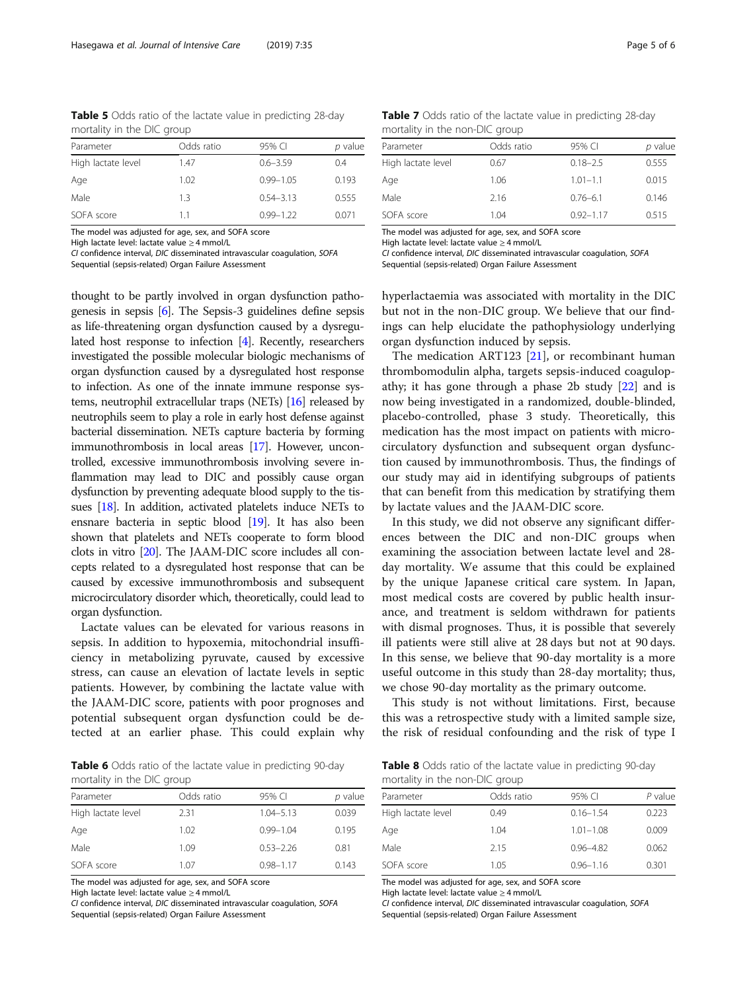<span id="page-4-0"></span>Table 5 Odds ratio of the lactate value in predicting 28-day mortality in the DIC group

| Parameter          | Odds ratio | 95% CI        | p value |
|--------------------|------------|---------------|---------|
| High lactate level | 1.47       | $0.6 - 3.59$  | 0.4     |
| Age                | 1.02       | $0.99 - 1.05$ | 0.193   |
| Male               | 13         | $0.54 - 3.13$ | 0.555   |
| SOFA score         | 11         | $0.99 - 1.22$ | 0.071   |

The model was adjusted for age, sex, and SOFA score

High lactate level: lactate value ≥ 4 mmol/L

CI confidence interval, DIC disseminated intravascular coagulation, SOFA

Sequential (sepsis-related) Organ Failure Assessment

thought to be partly involved in organ dysfunction pathogenesis in sepsis [\[6\]](#page-5-0). The Sepsis-3 guidelines define sepsis as life-threatening organ dysfunction caused by a dysregulated host response to infection [\[4\]](#page-5-0). Recently, researchers investigated the possible molecular biologic mechanisms of organ dysfunction caused by a dysregulated host response to infection. As one of the innate immune response systems, neutrophil extracellular traps (NETs) [\[16\]](#page-5-0) released by neutrophils seem to play a role in early host defense against bacterial dissemination. NETs capture bacteria by forming immunothrombosis in local areas [[17](#page-5-0)]. However, uncontrolled, excessive immunothrombosis involving severe inflammation may lead to DIC and possibly cause organ dysfunction by preventing adequate blood supply to the tissues [[18](#page-5-0)]. In addition, activated platelets induce NETs to ensnare bacteria in septic blood [[19](#page-5-0)]. It has also been shown that platelets and NETs cooperate to form blood clots in vitro [\[20\]](#page-5-0). The JAAM-DIC score includes all concepts related to a dysregulated host response that can be caused by excessive immunothrombosis and subsequent microcirculatory disorder which, theoretically, could lead to organ dysfunction.

Lactate values can be elevated for various reasons in sepsis. In addition to hypoxemia, mitochondrial insufficiency in metabolizing pyruvate, caused by excessive stress, can cause an elevation of lactate levels in septic patients. However, by combining the lactate value with the JAAM-DIC score, patients with poor prognoses and potential subsequent organ dysfunction could be detected at an earlier phase. This could explain why

Table 6 Odds ratio of the lactate value in predicting 90-day mortality in the DIC group

| Parameter          | Odds ratio | 95% CI        | p value |
|--------------------|------------|---------------|---------|
| High lactate level | 2.31       | $1.04 - 5.13$ | 0.039   |
| Age                | 1.02       | $0.99 - 1.04$ | 0.195   |
| Male               | 1.09       | $0.53 - 2.26$ | 0.81    |
| SOFA score         | 1.07       | $0.98 - 1.17$ | 0.143   |

The model was adjusted for age, sex, and SOFA score

High lactate level: lactate value ≥ 4 mmol/L

CI confidence interval, DIC disseminated intravascular coagulation, SOFA

Sequential (sepsis-related) Organ Failure Assessment

Table 7 Odds ratio of the lactate value in predicting 28-day mortality in the non-DIC group

| mortanty in the non Die group |            |               |         |  |
|-------------------------------|------------|---------------|---------|--|
| Parameter                     | Odds ratio | 95% CI        | p value |  |
| High lactate level            | 0.67       | $0.18 - 2.5$  | 0.555   |  |
| Age                           | 1.06       | $1.01 - 1.1$  | 0.015   |  |
| Male                          | 2.16       | $0.76 - 6.1$  | 0.146   |  |
| SOFA score                    | 1.04       | $0.92 - 1.17$ | 0.515   |  |

The model was adjusted for age, sex, and SOFA score

High lactate level: lactate value > 4 mmol/L

CI confidence interval, DIC disseminated intravascular coagulation, SOFA Sequential (sepsis-related) Organ Failure Assessment

hyperlactaemia was associated with mortality in the DIC but not in the non-DIC group. We believe that our findings can help elucidate the pathophysiology underlying organ dysfunction induced by sepsis.

The medication ART123  $[21]$  $[21]$ , or recombinant human thrombomodulin alpha, targets sepsis-induced coagulopathy; it has gone through a phase 2b study  $[22]$  $[22]$  and is now being investigated in a randomized, double-blinded, placebo-controlled, phase 3 study. Theoretically, this medication has the most impact on patients with microcirculatory dysfunction and subsequent organ dysfunction caused by immunothrombosis. Thus, the findings of our study may aid in identifying subgroups of patients that can benefit from this medication by stratifying them by lactate values and the JAAM-DIC score.

In this study, we did not observe any significant differences between the DIC and non-DIC groups when examining the association between lactate level and 28 day mortality. We assume that this could be explained by the unique Japanese critical care system. In Japan, most medical costs are covered by public health insurance, and treatment is seldom withdrawn for patients with dismal prognoses. Thus, it is possible that severely ill patients were still alive at 28 days but not at 90 days. In this sense, we believe that 90-day mortality is a more useful outcome in this study than 28-day mortality; thus, we chose 90-day mortality as the primary outcome.

This study is not without limitations. First, because this was a retrospective study with a limited sample size, the risk of residual confounding and the risk of type I

Table 8 Odds ratio of the lactate value in predicting 90-day mortality in the non-DIC group

| Parameter          | Odds ratio | 95% CI        | $P$ value |
|--------------------|------------|---------------|-----------|
| High lactate level | 0.49       | $0.16 - 1.54$ | 0.223     |
| Age                | 1.04       | $1.01 - 1.08$ | 0.009     |
| Male               | 2.15       | $0.96 - 4.82$ | 0.062     |
| SOFA score         | 1.05       | $0.96 - 1.16$ | 0.301     |
|                    |            |               |           |

The model was adjusted for age, sex, and SOFA score

High lactate level: lactate value > 4 mmol/L

CI confidence interval, DIC disseminated intravascular coagulation, SOFA Sequential (sepsis-related) Organ Failure Assessment